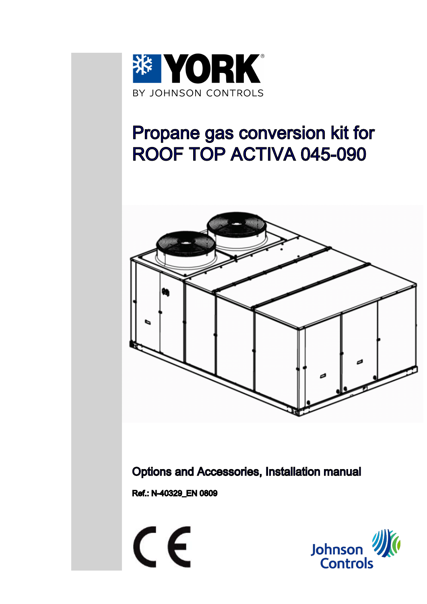

# Propane gas conversion kit for ROOF TOP ACTIVA 045-090



Options and Accessories, Installation manual

Ref.: N-40329\_EN 0809



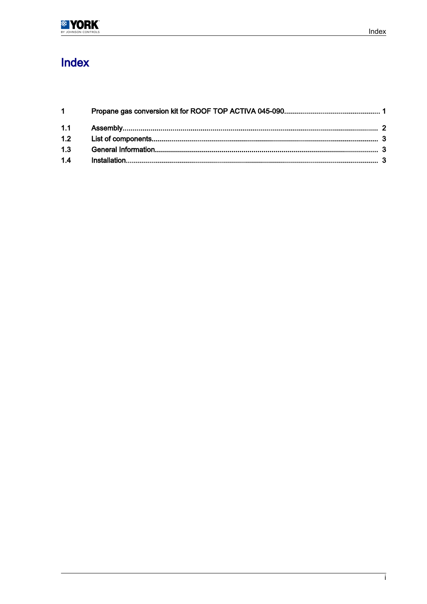

## Index

| $1 \quad \blacksquare$ |  |
|------------------------|--|
|                        |  |
|                        |  |
| 1.3                    |  |
| 1.4                    |  |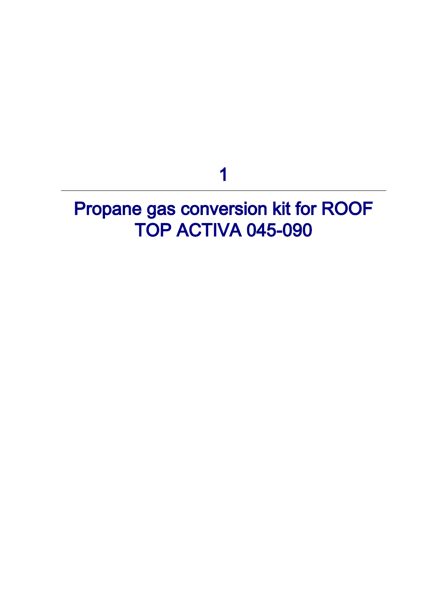1

# <span id="page-2-0"></span>Propane gas conversion kit for ROOF TOP ACTIVA 045-090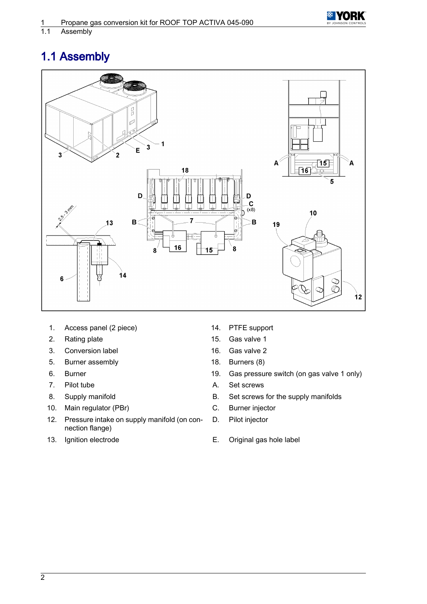

#### <span id="page-3-0"></span>Assembly

## 1.1 Assembly



- 1. Access panel (2 piece) 14. PTFE support
- 
- 3. Conversion label 16. Gas valve 2
- 5. Burner assembly 18. Burners (8)
- 
- 
- 
- 10. Main regulator (PBr) C. Burner injector
- 12. Pressure intake on supply manifold (on connection flange)
- 
- 
- 2. Rating plate 15. Gas valve 1
	-
	-
- 6. Burner 19. Gas pressure switch (on gas valve 1 only)
- 7. Pilot tube **A.** Set screws
- 8. Supply manifold **B.** Set screws for the supply manifolds
	-
	- D. Pilot injector
- 13. Ignition electrode E. Original gas hole label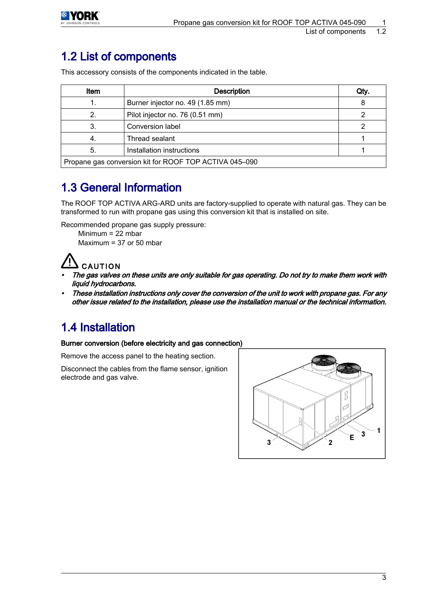<span id="page-4-0"></span>

### 1.2 List of components

This accessory consists of the components indicated in the table.

| ltem                                                   | <b>Description</b>               | Qty. |  |  |
|--------------------------------------------------------|----------------------------------|------|--|--|
|                                                        | Burner injector no. 49 (1.85 mm) |      |  |  |
|                                                        | Pilot injector no. 76 (0.51 mm)  |      |  |  |
|                                                        | <b>Conversion label</b>          |      |  |  |
|                                                        | Thread sealant                   |      |  |  |
| 5.                                                     | Installation instructions        |      |  |  |
| Propane gas conversion kit for ROOF TOP ACTIVA 045-090 |                                  |      |  |  |

### 1.3 General Information

The ROOF TOP ACTIVA ARG-ARD units are factory-supplied to operate with natural gas. They can be transformed to run with propane gas using this conversion kit that is installed on site.

Recommended propane gas supply pressure: Minimum = 22 mbar

Maximum = 37 or 50 mbar

## **CAUTION**

- The gas valves on these units are only suitable for gas operating. Do not try to make them work with liquid hydrocarbons.
- • These installation instructions only cover the conversion of the unit to work with propane gas. For any other issue related to the installation, please use the installation manual or the technical information.

## 1.4 Installation

#### Burner conversion (before electricity and gas connection)

Remove the access panel to the heating section.

Disconnect the cables from the flame sensor, ignition electrode and gas valve.

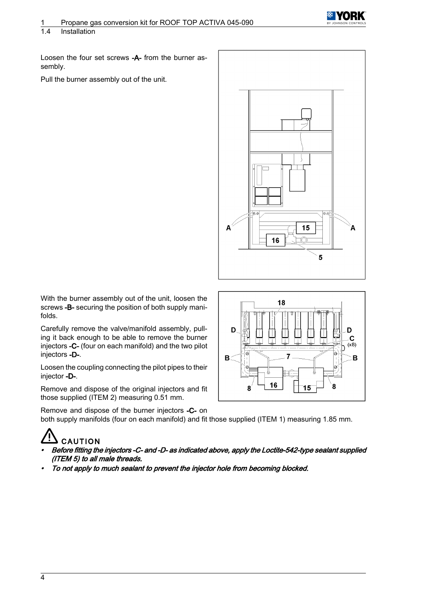

#### 1.4 Installation

Loosen the four set screws -A- from the burner assembly.

Pull the burner assembly out of the unit.



With the burner assembly out of the unit, loosen the screws -B- securing the position of both supply manifolds.

Carefully remove the valve/manifold assembly, pull‐ ing it back enough to be able to remove the burner injectors -C- (four on each manifold) and the two pilot injectors -D-.

Loosen the coupling connecting the pilot pipes to their injector -D-.

Remove and dispose of the original injectors and fit those supplied (ITEM 2) measuring 0.51 mm.

Remove and dispose of the burner injectors -C- on both supply manifolds (four on each manifold) and fit those supplied (ITEM 1) measuring 1.85 mm.

## **CAUTION**

- • Before fitting the injectors -C- and -D- as indicated above, apply the Loctite-542-type sealant supplied (ITEM 5) to all male threads.
- •To not apply to much sealant to prevent the injector hole from becoming blocked.

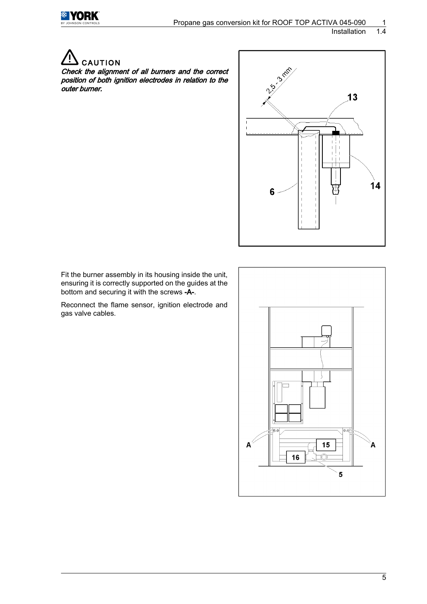

**Installation** 

**CAUTION** 

Check the alignment of all burners and the correct position of both ignition electrodes in relation to the outer burner.



Fit the burner assembly in its housing inside the unit, ensuring it is correctly supported on the guides at the bottom and securing it with the screws -A-.

Reconnect the flame sensor, ignition electrode and gas valve cables.